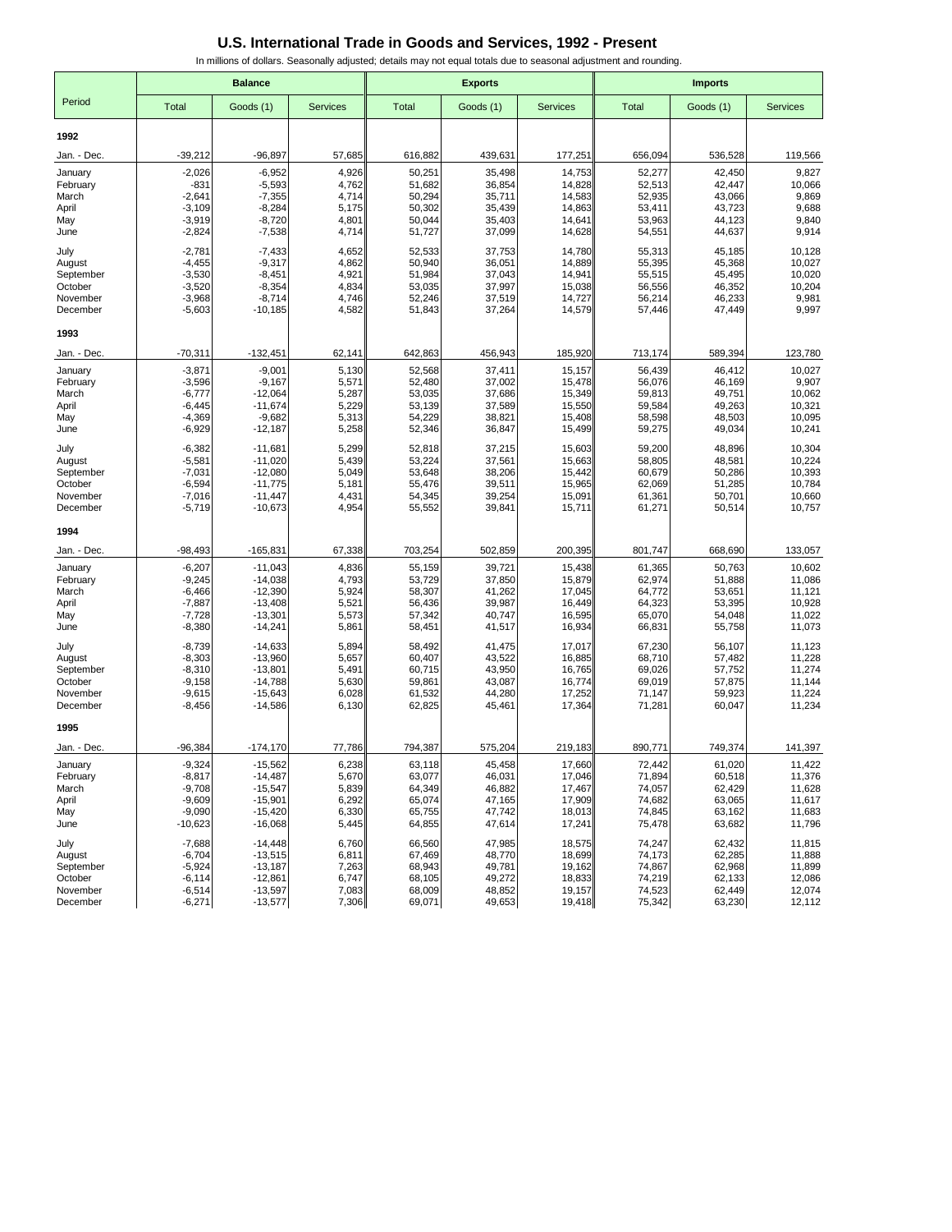|                      | <b>Balance</b>       |                        |                 |                  | <b>Exports</b>   |                  | <b>Imports</b>   |                  |                  |
|----------------------|----------------------|------------------------|-----------------|------------------|------------------|------------------|------------------|------------------|------------------|
| Period               | Total                | Goods (1)              | <b>Services</b> | <b>Total</b>     | Goods (1)        | <b>Services</b>  | <b>Total</b>     | Goods (1)        | <b>Services</b>  |
| 1992                 |                      |                        |                 |                  |                  |                  |                  |                  |                  |
| Jan. - Dec.          | $-39,212$            | $-96,897$              | 57,685          | 616,882          | 439,631          | 177,251          | 656,094          | 536,528          | 119,566          |
| January              | $-2,026$             | $-6,952$               | 4,926           | 50,251           | 35,498           | 14,753           | 52,277           | 42,450           | 9,827            |
| February             | $-831$               | $-5,593$               | 4,762           | 51,682           | 36,854           | 14,828           | 52,513           | 42,447           | 10,066           |
| March<br>April       | $-2,641$<br>$-3,109$ | $-7,355$<br>$-8,284$   | 4,714<br>5,175  | 50,294<br>50,302 | 35,711<br>35,439 | 14,583<br>14,863 | 52,935<br>53,411 | 43,066<br>43,723 | 9,869<br>9,688   |
| May                  | $-3,919$             | $-8,720$               | 4,801           | 50,044           | 35,403           | 14,641           | 53,963           | 44,123           | 9,840            |
| June                 | $-2,824$             | $-7,538$               | 4,714           | 51,727           | 37,099           | 14,628           | 54,551           | 44,637           | 9,914            |
| July                 | $-2,781$             | $-7,433$               | 4,652           | 52,533           | 37,753           | 14,780           | 55,313           | 45,185           | 10,128           |
| August               | $-4,455$             | $-9,317$               | 4,862           | 50,940           | 36,051           | 14,889           | 55,395           | 45,368           | 10,027           |
| September<br>October | $-3,530$<br>$-3,520$ | $-8,451$<br>$-8,354$   | 4,921<br>4,834  | 51,984<br>53,035 | 37,043<br>37,997 | 14,941<br>15,038 | 55,515<br>56,556 | 45,495<br>46,352 | 10,020<br>10,204 |
| November             | $-3,968$             | $-8,714$               | 4,746           | 52,246           | 37,519           | 14,727           | 56,214           | 46,233           | 9,981            |
| December             | $-5,603$             | $-10,185$              | 4,582           | 51,843           | 37,264           | 14,579           | 57,446           | 47,449           | 9,997            |
| 1993                 |                      |                        |                 |                  |                  |                  |                  |                  |                  |
| Jan. - Dec.          | $-70,311$            | $-132,451$             | 62,141          | 642,863          | 456,943          | 185,920          | 713,174          | 589,394          | 123,780          |
| January              | $-3,871$             | $-9,001$               | 5,130           | 52,568           | 37,411           | 15,157           | 56,439           | 46,412           | 10,027           |
| February<br>March    | $-3,596$<br>$-6,777$ | $-9,167$<br>$-12,064$  | 5,571<br>5,287  | 52,480<br>53,035 | 37,002<br>37,686 | 15,478<br>15,349 | 56,076<br>59,813 | 46,169<br>49,751 | 9,907<br>10,062  |
| April                | $-6,445$             | $-11,674$              | 5,229           | 53,139           | 37,589           | 15,550           | 59,584           | 49,263           | 10,321           |
| May                  | $-4,369$             | $-9,682$               | 5,313           | 54,229           | 38,821           | 15,408           | 58,598           | 48,503           | 10,095           |
| June                 | $-6,929$             | $-12,187$              | 5,258           | 52,346           | 36,847           | 15,499           | 59,275           | 49,034           | 10,241           |
| July                 | $-6,382$             | $-11,681$              | 5,299           | 52,818           | 37,215           | 15,603           | 59,200           | 48,896           | 10,304           |
| August               | $-5,581$<br>$-7,031$ | $-11,020$<br>$-12,080$ | 5,439<br>5,049  | 53,224<br>53,648 | 37,561<br>38,206 | 15,663           | 58,805<br>60,679 | 48,581<br>50,286 | 10,224<br>10,393 |
| September<br>October | $-6,594$             | $-11,775$              | 5,181           | 55,476           | 39,511           | 15,442<br>15,965 | 62,069           | 51,285           | 10,784           |
| November             | $-7,016$             | $-11,447$              | 4,431           | 54,345           | 39,254           | 15,091           | 61,361           | 50,701           | 10,660           |
| December             | $-5,719$             | $-10,673$              | 4,954           | 55,552           | 39,841           | 15,711           | 61,271           | 50,514           | 10,757           |
| 1994                 |                      |                        |                 |                  |                  |                  |                  |                  |                  |
| Jan. - Dec.          | $-98,493$            | $-165,831$             | 67,338          | 703,254          | 502,859          | 200,395          | 801,747          | 668,690          | 133,057          |
| January              | $-6,207$             | $-11,043$              | 4,836           | 55,159           | 39,721           | 15,438           | 61,365           | 50,763           | 10,602           |
| February<br>March    | $-9,245$<br>$-6,466$ | $-14,038$<br>$-12,390$ | 4,793<br>5,924  | 53,729<br>58,307 | 37,850<br>41,262 | 15,879<br>17,045 | 62,974<br>64,772 | 51,888<br>53,651 | 11,086<br>11,121 |
| April                | $-7,887$             | $-13,408$              | 5,521           | 56,436           | 39,987           | 16,449           | 64,323           | 53,395           | 10,928           |
| May                  | $-7,728$             | $-13,301$              | 5,573           | 57,342           | 40,747           | 16,595           | 65,070           | 54,048           | 11,022           |
| June                 | $-8,380$             | $-14,241$              | 5,861           | 58,451           | 41,517           | 16,934           | 66,831           | 55,758           | 11,073           |
| July                 | $-8,739$             | $-14,633$              | 5,894           | 58,492           | 41,475           | 17,017           | 67,230           | 56,107           | 11,123           |
| August<br>September  | $-8,303$<br>$-8,310$ | $-13,960$<br>$-13,801$ | 5,657<br>5,491  | 60,407<br>60,715 | 43,522<br>43,950 | 16,885<br>16,765 | 68,710<br>69,026 | 57,482<br>57,752 | 11,228<br>11,274 |
| October              | $-9,158$             | $-14,788$              | 5,630           | 59,861           | 43,087           | 16,774           | 69,019           | 57,875           | 11,144           |
| November             | $-9,615$             | $-15,643$              | 6,028           | 61,532           | 44,280           | 17,252           | 71,147           | 59,923           | 11,224           |
| December             | $-8,456$             | $-14,586$              | 6,130           | 62,825           | 45,461           | 17,364           | 71,281           | 60,047           | 11,234           |
| 1995                 |                      |                        |                 |                  |                  |                  |                  |                  |                  |
| Jan. - Dec.          | $-96,384$            | $-174, 170$            | 77,786          | 794,387          | 575,204          | 219,183          | 890,771          | 749,374          | 141,397          |
| January              | $-9,324$             | $-15,562$              | 6,238           | 63,118           | 45,458           | 17,660           | 72,442           | 61,020           | 11,422           |
| February<br>March    | $-8,817$<br>$-9,708$ | $-14,487$<br>$-15,547$ | 5,670<br>5,839  | 63,077<br>64,349 | 46,031<br>46,882 | 17,046<br>17,467 | 71,894<br>74,057 | 60,518<br>62,429 | 11,376<br>11,628 |
| April                | $-9,609$             | $-15,901$              | 6,292           | 65,074           | 47,165           | 17,909           | 74,682           | 63,065           | 11,617           |
| May                  | $-9,090$             | $-15,420$              | 6,330           | 65,755           | 47,742           | 18,013           | 74,845           | 63,162           | 11,683           |
| June                 | $-10,623$            | $-16,068$              | 5,445           | 64,855           | 47,614           | 17,241           | 75,478           | 63,682           | 11,796           |
| July                 | $-7,688$             | $-14,448$              | 6,760           | 66,560           | 47,985           | 18,575           | 74,247           | 62,432           | 11,815           |
| August<br>September  | $-6,704$<br>$-5,924$ | $-13,515$<br>$-13,187$ | 6,811<br>7,263  | 67,469<br>68,943 | 48,770<br>49,781 | 18,699<br>19,162 | 74,173<br>74,867 | 62,285<br>62,968 | 11,888<br>11,899 |
| October              | $-6, 114$            | $-12,861$              | 6,747           | 68,105           | 49,272           | 18,833           | 74,219           | 62,133           | 12,086           |
| November             | $-6,514$             | $-13,597$              | 7,083           | 68,009           | 48,852           | 19,157           | 74,523           | 62,449           | 12,074           |
| December             | $-6,271$             | $-13,577$              | 7,306           | 69,071           | 49,653           | 19,418           | 75,342           | 63,230           | 12,112           |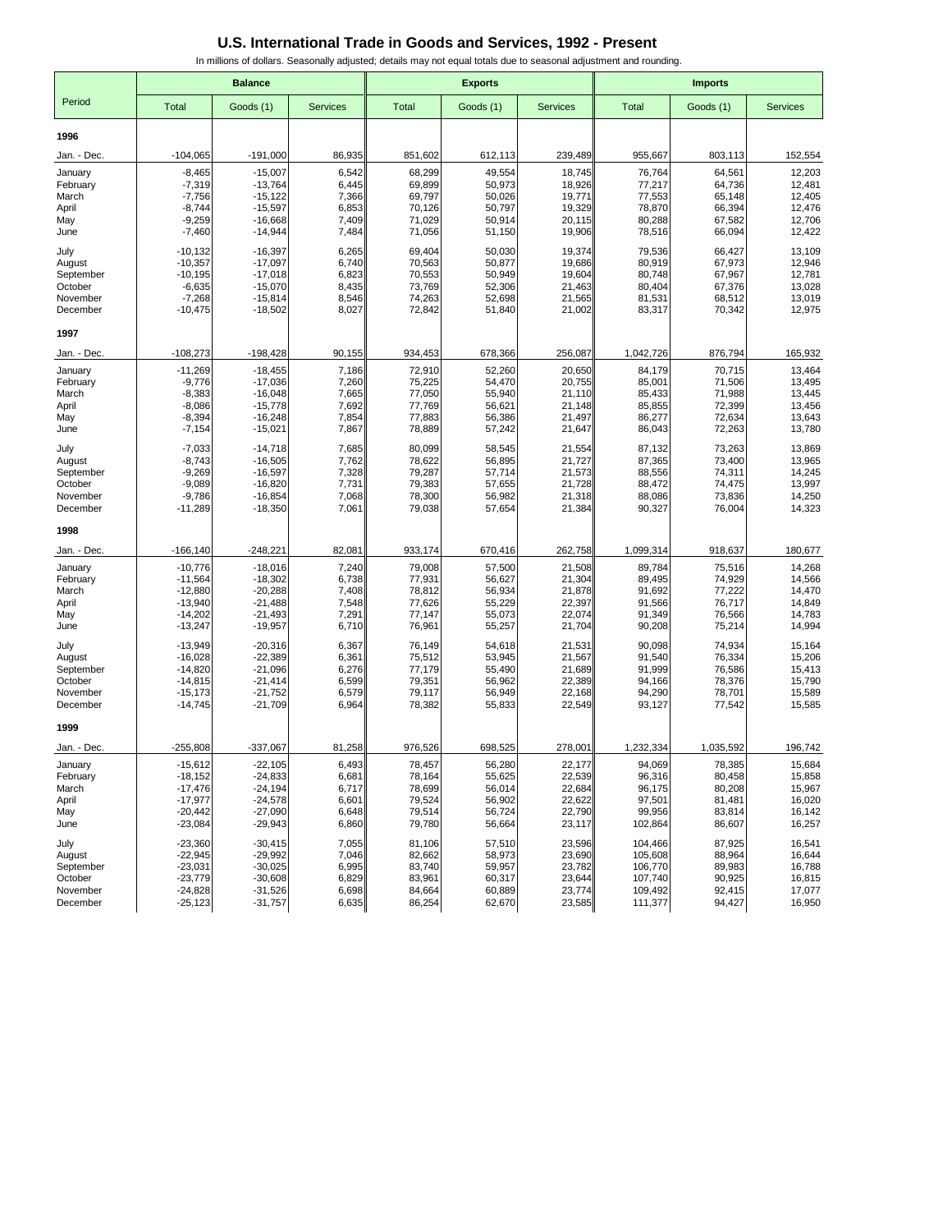|                      | <b>Balance</b>         |                         |                 |                  | <b>Exports</b>   |                  | <b>Imports</b>     |                  |                  |  |
|----------------------|------------------------|-------------------------|-----------------|------------------|------------------|------------------|--------------------|------------------|------------------|--|
| Period               | Total                  | Goods (1)               | <b>Services</b> | <b>Total</b>     | Goods (1)        | <b>Services</b>  | Total              | Goods (1)        | <b>Services</b>  |  |
| 1996                 |                        |                         |                 |                  |                  |                  |                    |                  |                  |  |
| Jan. - Dec.          | $-104,065$             | $-191,000$              | 86,935          | 851,602          | 612,113          | 239,489          | 955,667            | 803,113          | 152,554          |  |
| January              | $-8,465$               | $-15,007$               | 6,542           | 68,299           | 49,554           | 18,745           | 76,764             | 64,561           | 12,203           |  |
| February             | $-7,319$               | $-13.764$               | 6,445           | 69,899           | 50,973           | 18,926           | 77,217             | 64,736           | 12,481           |  |
| March                | $-7,756$<br>$-8,744$   | $-15, 122$<br>$-15,597$ | 7,366<br>6,853  | 69,797<br>70,126 | 50,026<br>50,797 | 19,771<br>19,329 | 77,553<br>78,870   | 65,148<br>66,394 | 12,405<br>12,476 |  |
| April<br>May         | $-9,259$               | $-16,668$               | 7,409           | 71,029           | 50,914           | 20,115           | 80,288             | 67,582           | 12,706           |  |
| June                 | $-7,460$               | $-14,944$               | 7,484           | 71,056           | 51,150           | 19,906           | 78,516             | 66,094           | 12,422           |  |
| July                 | $-10, 132$             | $-16,397$               | 6,265           | 69,404           | 50,030           | 19,374           | 79,536             | 66,427           | 13,109           |  |
| August               | $-10,357$              | $-17,097$               | 6,740           | 70,563           | 50,877           | 19,686           | 80,919             | 67,973           | 12,946           |  |
| September<br>October | $-10,195$<br>$-6,635$  | $-17,018$<br>$-15,070$  | 6,823<br>8,435  | 70,553<br>73,769 | 50,949<br>52,306 | 19,604<br>21,463 | 80,748<br>80,404   | 67,967<br>67,376 | 12,781<br>13,028 |  |
| November             | $-7,268$               | $-15,814$               | 8,546           | 74,263           | 52,698           | 21,565           | 81,531             | 68,512           | 13,019           |  |
| December             | $-10,475$              | $-18,502$               | 8,027           | 72,842           | 51,840           | 21,002           | 83,317             | 70,342           | 12,975           |  |
| 1997                 |                        |                         |                 |                  |                  |                  |                    |                  |                  |  |
| Jan. - Dec.          | $-108,273$             | $-198,428$              | 90,155          | 934,453          | 678,366          | 256,087          | 1,042,726          | 876,794          | 165,932          |  |
| January              | $-11,269$              | $-18,455$               | 7,186           | 72,910           | 52,260           | 20,650           | 84,179             | 70,715           | 13,464           |  |
| February<br>March    | $-9,776$<br>$-8,383$   | $-17,036$<br>$-16,048$  | 7,260<br>7,665  | 75,225<br>77,050 | 54,470<br>55,940 | 20,755<br>21,110 | 85,001<br>85,433   | 71,506<br>71,988 | 13,495<br>13,445 |  |
| April                | $-8,086$               | $-15,778$               | 7,692           | 77,769           | 56,621           | 21,148           | 85,855             | 72,399           | 13,456           |  |
| May                  | $-8,394$               | $-16,248$               | 7,854           | 77,883           | 56,386           | 21,497           | 86,277             | 72,634           | 13,643           |  |
| June                 | $-7,154$               | $-15,021$               | 7,867           | 78,889           | 57,242           | 21,647           | 86,043             | 72,263           | 13,780           |  |
| July                 | $-7,033$               | $-14,718$               | 7,685           | 80,099           | 58,545           | 21,554           | 87,132             | 73,263           | 13,869           |  |
| August<br>September  | $-8,743$<br>$-9,269$   | $-16,505$<br>$-16,597$  | 7,762<br>7,328  | 78,622<br>79,287 | 56,895           | 21,727           | 87,365<br>88,556   | 73,400<br>74,311 | 13,965<br>14,245 |  |
| October              | $-9,089$               | $-16,820$               | 7,731           | 79,383           | 57,714<br>57,655 | 21,573<br>21,728 | 88,472             | 74,475           | 13,997           |  |
| November             | $-9,786$               | $-16,854$               | 7,068           | 78,300           | 56,982           | 21,318           | 88,086             | 73,836           | 14,250           |  |
| December             | $-11,289$              | $-18.350$               | 7,061           | 79,038           | 57.654           | 21,384           | 90,327             | 76,004           | 14,323           |  |
| 1998                 |                        |                         |                 |                  |                  |                  |                    |                  |                  |  |
| Jan. - Dec.          | $-166, 140$            | $-248,221$              | 82,081          | 933,174          | 670,416          | 262,758          | 1,099,314          | 918,637          | 180,677          |  |
| January              | $-10,776$              | $-18,016$               | 7,240           | 79,008           | 57,500           | 21,508           | 89,784             | 75,516           | 14,268           |  |
| February<br>March    | $-11,564$<br>$-12,880$ | $-18,302$<br>$-20,288$  | 6,738<br>7,408  | 77,931<br>78,812 | 56,627<br>56,934 | 21,304<br>21,878 | 89,495<br>91,692   | 74,929<br>77,222 | 14,566<br>14,470 |  |
| April                | $-13,940$              | $-21,488$               | 7,548           | 77,626           | 55,229           | 22,397           | 91,566             | 76,717           | 14,849           |  |
| May                  | $-14,202$              | $-21,493$               | 7,291           | 77,147           | 55,073           | 22,074           | 91,349             | 76,566           | 14,783           |  |
| June                 | $-13,247$              | $-19,957$               | 6,710           | 76,961           | 55,257           | 21,704           | 90,208             | 75,214           | 14,994           |  |
| July                 | $-13,949$              | $-20,316$               | 6,367           | 76,149           | 54,618           | 21,531           | 90,098             | 74,934           | 15,164           |  |
| August<br>September  | $-16,028$<br>$-14,820$ | $-22,389$<br>$-21,096$  | 6,361<br>6,276  | 75,512<br>77,179 | 53,945<br>55,490 | 21,567<br>21,689 | 91,540<br>91,999   | 76,334<br>76,586 | 15,206<br>15,413 |  |
| October              | $-14,815$              | $-21,414$               | 6,599           | 79,351           | 56,962           | 22,389           | 94,166             | 78,376           | 15,790           |  |
| November             | $-15,173$              | $-21,752$               | 6,579           | 79,117           | 56,949           | 22,168           | 94,290             | 78,701           | 15,589           |  |
| December             | $-14,745$              | $-21,709$               | 6,964           | 78,382           | 55,833           | 22,549           | 93,127             | 77,542           | 15,585           |  |
| 1999                 |                        |                         |                 |                  |                  |                  |                    |                  |                  |  |
| Jan. - Dec.          | $-255,808$             | $-337,067$              | 81,258          | 976,526          | 698,525          | 278,001          | 1,232,334          | 1,035,592        | 196,742          |  |
| January              | $-15,612$              | $-22,105$               | 6,493           | 78,457           | 56,280           | 22,177           | 94,069             | 78,385           | 15,684           |  |
| February             | $-18,152$              | $-24,833$<br>$-24,194$  | 6,681           | 78,164           | 55,625           | 22,539<br>22,684 | 96,316<br>96,175   | 80,458           | 15,858<br>15,967 |  |
| March<br>April       | $-17,476$<br>$-17,977$ | $-24,578$               | 6,717<br>6,601  | 78,699<br>79,524 | 56,014<br>56,902 | 22,622           | 97,501             | 80,208<br>81,481 | 16,020           |  |
| May                  | $-20,442$              | $-27,090$               | 6,648           | 79,514           | 56,724           | 22,790           | 99,956             | 83,814           | 16,142           |  |
| June                 | $-23,084$              | $-29,943$               | 6,860           | 79,780           | 56,664           | 23,117           | 102,864            | 86,607           | 16,257           |  |
| July                 | $-23,360$              | $-30,415$               | 7,055           | 81,106           | 57,510           | 23,596           | 104,466            | 87,925           | 16,541           |  |
| August               | $-22,945$              | $-29,992$               | 7,046           | 82,662           | 58,973           | 23,690           | 105,608            | 88,964           | 16,644           |  |
| September<br>October | $-23,031$<br>$-23,779$ | $-30,025$<br>$-30,608$  | 6,995<br>6,829  | 83,740<br>83,961 | 59,957<br>60,317 | 23,782<br>23,644 | 106,770<br>107,740 | 89,983<br>90,925 | 16,788<br>16,815 |  |
| November             | $-24,828$              | $-31,526$               | 6,698           | 84,664           | 60,889           | 23,774           | 109,492            | 92,415           | 17,077           |  |
| December             | $-25,123$              | $-31,757$               | 6,635           | 86,254           | 62,670           | 23,585           | 111,377            | 94,427           | 16,950           |  |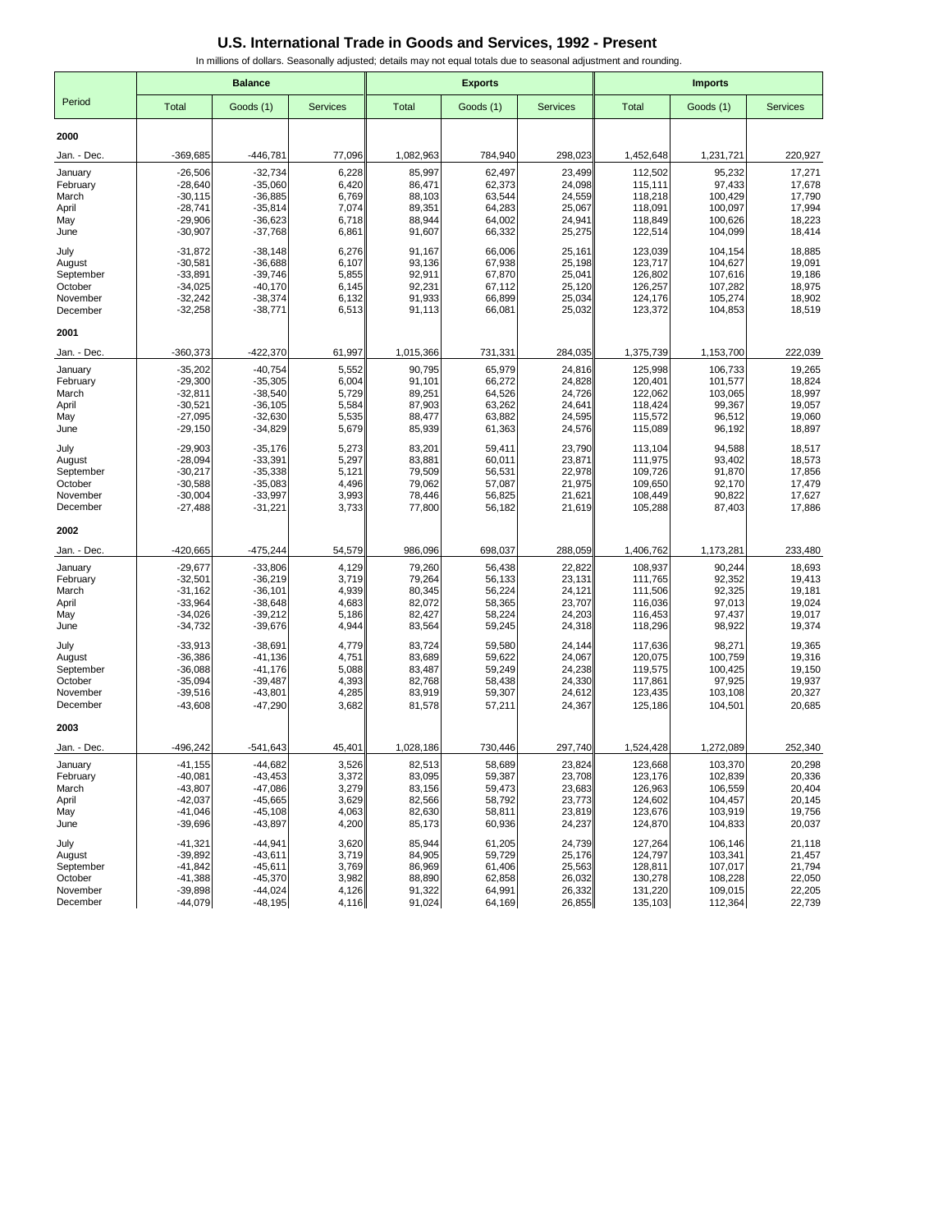|                      | <b>Balance</b>         |                         |                 |                  | <b>Exports</b>   |                  | <b>Imports</b>     |                    |                  |
|----------------------|------------------------|-------------------------|-----------------|------------------|------------------|------------------|--------------------|--------------------|------------------|
| Period               | Total                  | Goods (1)               | <b>Services</b> | <b>Total</b>     | Goods (1)        | <b>Services</b>  | <b>Total</b>       | Goods (1)          | <b>Services</b>  |
| 2000                 |                        |                         |                 |                  |                  |                  |                    |                    |                  |
| Jan. - Dec.          | -369,685               | $-446,781$              | 77,096          | 1,082,963        | 784,940          | 298,023          | 1,452,648          | 1,231,721          | 220,927          |
| January              | $-26,506$              | $-32,734$               | 6,228           | 85,997           | 62,497           | 23,499           | 112,502            | 95,232             | 17,271           |
| February             | $-28,640$              | $-35,060$               | 6,420           | 86,471           | 62,373           | 24.098           | 115,111            | 97,433             | 17,678           |
| March                | $-30,115$              | $-36,885$               | 6,769           | 88,103           | 63,544           | 24,559           | 118,218            | 100,429            | 17,790           |
| April<br>May         | $-28,741$<br>$-29,906$ | $-35,814$<br>$-36,623$  | 7,074<br>6,718  | 89,351<br>88,944 | 64,283<br>64,002 | 25,067<br>24,941 | 118,091<br>118,849 | 100,097<br>100,626 | 17,994<br>18,223 |
| June                 | $-30,907$              | $-37,768$               | 6,861           | 91,607           | 66,332           | 25,275           | 122,514            | 104,099            | 18,414           |
| July                 | $-31,872$              | $-38,148$               | 6,276           | 91,167           | 66,006           | 25,161           | 123,039            | 104,154            | 18,885           |
| August               | $-30,581$              | $-36,688$               | 6,107           | 93,136           | 67,938           | 25,198           | 123,717            | 104,627            | 19,091           |
| September            | $-33,891$              | $-39,746$<br>$-40,170$  | 5,855<br>6,145  | 92,911<br>92,231 | 67,870           | 25,041<br>25,120 | 126,802            | 107,616            | 19,186<br>18,975 |
| October<br>November  | $-34,025$<br>$-32,242$ | $-38,374$               | 6,132           | 91,933           | 67,112<br>66,899 | 25,034           | 126,257<br>124,176 | 107,282<br>105,274 | 18,902           |
| December             | $-32,258$              | $-38,771$               | 6,513           | 91,113           | 66,081           | 25,032           | 123,372            | 104,853            | 18,519           |
| 2001                 |                        |                         |                 |                  |                  |                  |                    |                    |                  |
| Jan. - Dec.          | $-360,373$             | $-422,370$              | 61,997          | 1,015,366        | 731,331          | 284,035          | 1,375,739          | 1,153,700          | 222,039          |
| January              | $-35,202$              | $-40,754$               | 5,552           | 90,795           | 65,979           | 24,816           | 125,998            | 106,733            | 19,265           |
| February             | $-29,300$              | $-35,305$               | 6,004           | 91,101           | 66,272           | 24,828           | 120,401            | 101,577            | 18,824           |
| March                | $-32,811$              | $-38,540$               | 5,729           | 89,251           | 64,526           | 24,726           | 122,062            | 103,065            | 18,997           |
| April<br>May         | $-30,521$<br>$-27,095$ | $-36, 105$<br>$-32,630$ | 5,584<br>5,535  | 87,903<br>88,477 | 63,262<br>63,882 | 24,641<br>24,595 | 118,424<br>115,572 | 99,367<br>96,512   | 19,057<br>19,060 |
| June                 | $-29,150$              | $-34,829$               | 5,679           | 85,939           | 61,363           | 24,576           | 115,089            | 96,192             | 18,897           |
| July                 | $-29,903$              | $-35,176$               | 5,273           | 83,201           | 59,411           | 23.790           | 113,104            | 94,588             | 18,517           |
| August               | $-28,094$              | $-33,391$               | 5,297           | 83,881           | 60,011           | 23,871           | 111,975            | 93,402             | 18,573           |
| September<br>October | $-30,217$<br>$-30,588$ | $-35,338$<br>$-35,083$  | 5,121<br>4,496  | 79,509<br>79,062 | 56,531<br>57,087 | 22,978<br>21,975 | 109,726<br>109,650 | 91,870<br>92,170   | 17,856<br>17,479 |
| November             | $-30,004$              | $-33,997$               | 3,993           | 78,446           | 56,825           | 21,621           | 108,449            | 90,822             | 17,627           |
| December             | $-27,488$              | $-31,221$               | 3,733           | 77,800           | 56,182           | 21,619           | 105,288            | 87,403             | 17,886           |
| 2002                 |                        |                         |                 |                  |                  |                  |                    |                    |                  |
| Jan. - Dec.          | -420,665               | $-475,244$              | 54,579          | 986,096          | 698,037          | 288,059          | 1,406,762          | 1,173,281          | 233,480          |
| January              | $-29,677$              | $-33,806$               | 4,129           | 79,260           | 56,438           | 22,822           | 108,937            | 90,244             | 18,693           |
| February             | $-32,501$              | $-36,219$               | 3,719           | 79,264           | 56,133           | 23,131           | 111,765            | 92,352             | 19,413           |
| March<br>April       | $-31,162$<br>$-33,964$ | $-36,101$<br>$-38,648$  | 4,939<br>4,683  | 80,345<br>82,072 | 56,224<br>58,365 | 24,121<br>23,707 | 111,506<br>116,036 | 92,325<br>97,013   | 19,181<br>19,024 |
| May                  | $-34,026$              | $-39,212$               | 5,186           | 82,427           | 58,224           | 24,203           | 116,453            | 97,437             | 19,017           |
| June                 | $-34,732$              | $-39,676$               | 4,944           | 83,564           | 59,245           | 24,318           | 118,296            | 98,922             | 19,374           |
| July                 | $-33,913$              | $-38,691$               | 4,779           | 83,724           | 59,580           | 24,144           | 117,636            | 98,271             | 19,365           |
| August               | $-36,386$              | $-41,136$               | 4,751           | 83,689           | 59,622           | 24,067           | 120,075            | 100,759            | 19,316           |
| September<br>October | $-36,088$<br>$-35,094$ | $-41,176$<br>$-39,487$  | 5,088<br>4,393  | 83,487<br>82,768 | 59,249<br>58,438 | 24,238<br>24,330 | 119,575<br>117,861 | 100,425<br>97,925  | 19,150<br>19,937 |
| November             | $-39,516$              | $-43,801$               | 4,285           | 83,919           | 59,307           | 24,612           | 123,435            | 103,108            | 20,327           |
| December             | $-43,608$              | $-47,290$               | 3,682           | 81,578           | 57,211           | 24,367           | 125,186            | 104,501            | 20,685           |
| 2003                 |                        |                         |                 |                  |                  |                  |                    |                    |                  |
| Jan. - Dec.          | $-496,242$             | $-541,643$              | 45,401          | 1,028,186        | 730,446          | 297,740          | 1,524,428          | 1,272,089          | 252,340          |
| January              | $-41,155$              | $-44,682$               | 3,526           | 82,513           | 58,689           | 23,824           | 123,668            | 103,370            | 20,298           |
| February             | $-40,081$<br>$-43,807$ | $-43,453$<br>$-47,086$  | 3,372<br>3,279  | 83,095<br>83,156 | 59,387           | 23,708           | 123,176<br>126,963 | 102,839<br>106,559 | 20,336           |
| March<br>April       | $-42,037$              | $-45,665$               | 3,629           | 82,566           | 59,473<br>58,792 | 23,683<br>23,773 | 124,602            | 104,457            | 20,404<br>20,145 |
| May                  | $-41,046$              | $-45,108$               | 4,063           | 82,630           | 58,811           | 23,819           | 123,676            | 103,919            | 19,756           |
| June                 | $-39,696$              | $-43,897$               | 4,200           | 85,173           | 60,936           | 24,237           | 124,870            | 104,833            | 20,037           |
| July                 | -41,321                | $-44,941$               | 3,620           | 85,944           | 61,205           | 24,739           | 127,264            | 106,146            | 21,118           |
| August               | $-39,892$              | $-43,611$               | 3,719           | 84,905           | 59,729           | 25,176           | 124,797            | 103,341            | 21,457           |
| September<br>October | -41,842<br>$-41,388$   | $-45,611$<br>$-45,370$  | 3,769<br>3,982  | 86,969<br>88,890 | 61,406<br>62,858 | 25,563<br>26,032 | 128,811<br>130,278 | 107,017<br>108,228 | 21,794<br>22,050 |
| November             | $-39,898$              | $-44,024$               | 4,126           | 91,322           | 64,991           | 26,332           | 131,220            | 109,015            | 22,205           |
| December             | $-44,079$              | $-48,195$               | 4,116           | 91,024           | 64,169           | 26,855           | 135,103            | 112,364            | 22,739           |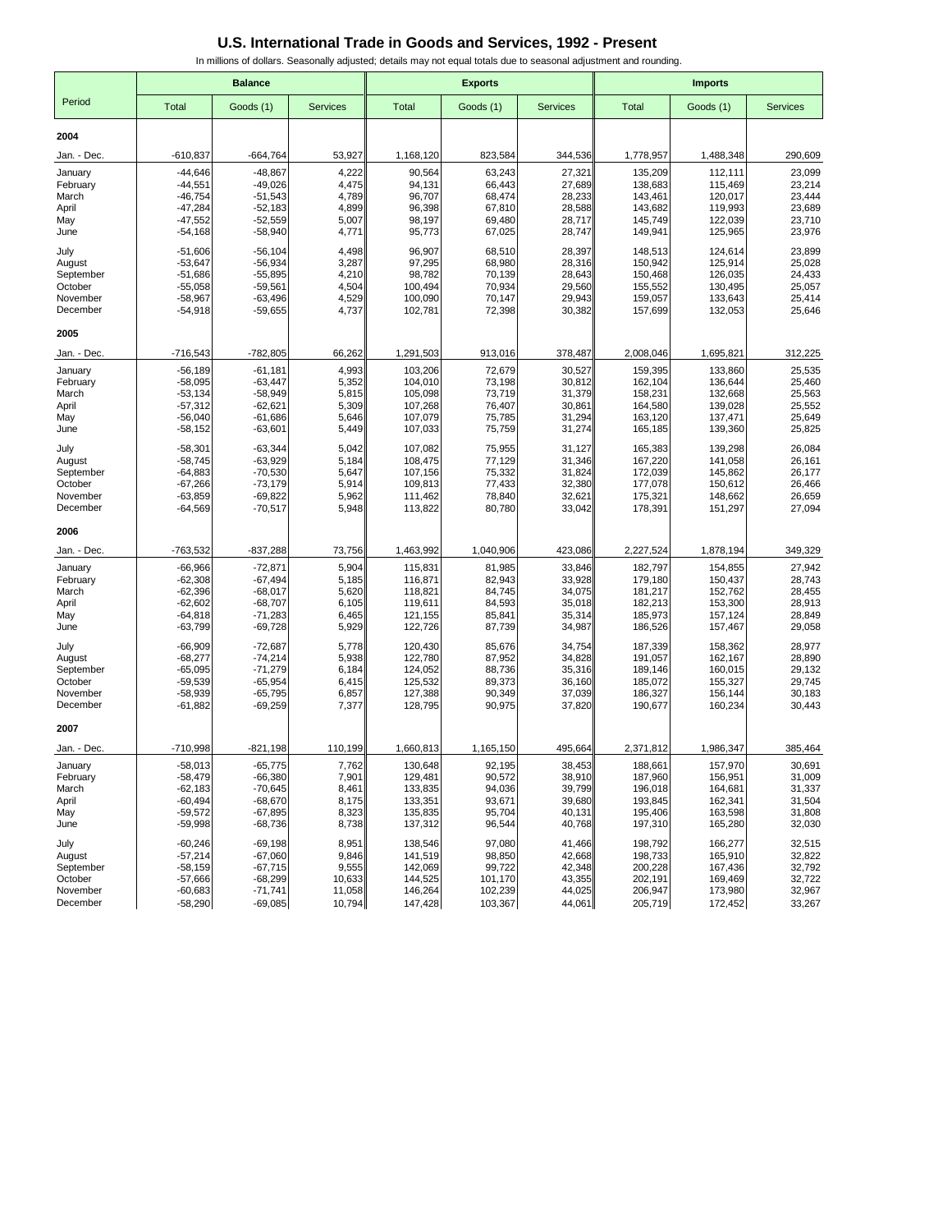|                      | <b>Balance</b>         |                        |                  |                    | <b>Exports</b>     |                  | <b>Imports</b>     |                    |                  |  |
|----------------------|------------------------|------------------------|------------------|--------------------|--------------------|------------------|--------------------|--------------------|------------------|--|
| Period               | Total                  | Goods (1)              | <b>Services</b>  | <b>Total</b>       | Goods (1)          | <b>Services</b>  | <b>Total</b>       | Goods (1)          | <b>Services</b>  |  |
| 2004                 |                        |                        |                  |                    |                    |                  |                    |                    |                  |  |
| Jan. - Dec.          | $-610,837$             | $-664,764$             | 53,927           | 1,168,120          | 823,584            | 344,536          | 1,778,957          | 1,488,348          | 290,609          |  |
| January              | $-44,646$              | $-48,867$              | 4,222            | 90,564             | 63,243             | 27,321           | 135,209            | 112,111            | 23,099           |  |
| February             | $-44,551$              | $-49,026$              | 4,475            | 94,131             | 66,443             | 27,689           | 138,683            | 115,469            | 23,214           |  |
| March                | $-46,754$              | $-51,543$              | 4,789            | 96,707             | 68,474             | 28,233           | 143,461            | 120,017            | 23,444           |  |
| April<br>May         | $-47,284$<br>$-47,552$ | $-52,183$<br>$-52,559$ | 4,899<br>5,007   | 96,398<br>98,197   | 67,810<br>69,480   | 28,588<br>28,717 | 143,682<br>145,749 | 119,993<br>122,039 | 23,689<br>23,710 |  |
| June                 | $-54,168$              | $-58,940$              | 4,771            | 95,773             | 67,025             | 28,747           | 149,941            | 125,965            | 23,976           |  |
| July                 | $-51,606$              | $-56, 104$             | 4,498            | 96,907             | 68,510             | 28,397           | 148,513            | 124,614            | 23,899           |  |
| August               | $-53,647$              | $-56,934$              | 3,287            | 97,295             | 68,980             | 28,316           | 150,942            | 125,914            | 25,028           |  |
| September<br>October | $-51,686$<br>$-55,058$ | $-55,895$<br>$-59,561$ | 4,210<br>4,504   | 98,782<br>100,494  | 70,139<br>70,934   | 28,643<br>29,560 | 150,468<br>155,552 | 126,035<br>130,495 | 24,433<br>25,057 |  |
| November             | $-58,967$              | $-63,496$              | 4,529            | 100,090            | 70,147             | 29,943           | 159,057            | 133,643            | 25,414           |  |
| December             | $-54,918$              | $-59,655$              | 4,737            | 102,781            | 72,398             | 30,382           | 157,699            | 132,053            | 25,646           |  |
| 2005                 |                        |                        |                  |                    |                    |                  |                    |                    |                  |  |
| Jan. - Dec.          | $-716,543$             | $-782,805$             | 66,262           | 1,291,503          | 913,016            | 378,487          | 2,008,046          | 1,695,821          | 312,225          |  |
| January              | $-56,189$              | $-61,181$              | 4,993            | 103,206            | 72,679             | 30,527           | 159,395            | 133,860            | 25,535           |  |
| February             | $-58,095$              | $-63,447$              | 5,352            | 104,010            | 73,198             | 30,812           | 162,104            | 136,644            | 25,460           |  |
| March<br>April       | $-53,134$<br>$-57,312$ | $-58,949$<br>$-62,621$ | 5,815<br>5,309   | 105,098<br>107,268 | 73,719<br>76,407   | 31,379<br>30,861 | 158,231<br>164,580 | 132,668<br>139,028 | 25,563<br>25,552 |  |
| May                  | $-56,040$              | $-61,686$              | 5,646            | 107,079            | 75,785             | 31,294           | 163,120            | 137,471            | 25,649           |  |
| June                 | $-58,152$              | $-63,601$              | 5,449            | 107,033            | 75,759             | 31,274           | 165,185            | 139,360            | 25,825           |  |
| July                 | $-58,301$              | $-63,344$              | 5,042            | 107,082            | 75,955             | 31,127           | 165,383            | 139,298            | 26,084           |  |
| August               | $-58,745$              | $-63,929$              | 5,184            | 108,475            | 77,129             | 31,346           | 167,220            | 141,058            | 26,161           |  |
| September            | $-64,883$              | $-70,530$<br>$-73,179$ | 5,647<br>5,914   | 107,156            | 75,332             | 31,824           | 172,039<br>177,078 | 145,862            | 26,177<br>26,466 |  |
| October<br>November  | $-67,266$<br>$-63,859$ | $-69,822$              | 5,962            | 109,813<br>111,462 | 77,433<br>78,840   | 32,380<br>32,621 | 175,321            | 150,612<br>148,662 | 26,659           |  |
| December             | $-64,569$              | $-70,517$              | 5,948            | 113,822            | 80,780             | 33,042           | 178,391            | 151,297            | 27,094           |  |
| 2006                 |                        |                        |                  |                    |                    |                  |                    |                    |                  |  |
| Jan. - Dec.          | -763,532               | $-837,288$             | 73,756           | 1,463,992          | 1,040,906          | 423,086          | 2,227,524          | 1,878,194          | 349,329          |  |
| January              | $-66,966$              | $-72,871$              | 5,904            | 115,831            | 81,985             | 33,846           | 182,797            | 154,855            | 27,942           |  |
| February             | $-62,308$              | $-67,494$              | 5,185            | 116,871            | 82,943             | 33,928           | 179,180            | 150,437            | 28,743           |  |
| March                | $-62,396$              | $-68,017$              | 5,620            | 118,821            | 84,745             | 34,075           | 181,217            | 152,762            | 28,455           |  |
| April<br>May         | $-62,602$<br>$-64,818$ | $-68,707$<br>$-71,283$ | 6,105<br>6,465   | 119,611<br>121,155 | 84,593<br>85,841   | 35,018<br>35,314 | 182,213<br>185,973 | 153,300<br>157,124 | 28,913<br>28,849 |  |
| June                 | -63,799                | $-69,728$              | 5,929            | 122,726            | 87,739             | 34,987           | 186,526            | 157,467            | 29,058           |  |
| July                 | $-66,909$              | $-72,687$              | 5,778            | 120,430            | 85,676             | 34,754           | 187,339            | 158,362            | 28,977           |  |
| August               | $-68,277$              | $-74,214$              | 5,938            | 122,780            | 87,952             | 34,828           | 191,057            | 162,167            | 28,890           |  |
| September            | $-65,095$              | $-71,279$              | 6,184            | 124,052            | 88,736             | 35,316           | 189,146            | 160,015            | 29,132           |  |
| October<br>November  | $-59,539$<br>$-58,939$ | $-65,954$<br>$-65,795$ | 6,415<br>6,857   | 125,532<br>127,388 | 89,373<br>90,349   | 36,160<br>37,039 | 185,072<br>186,327 | 155,327<br>156,144 | 29,745<br>30,183 |  |
| December             | $-61,882$              | $-69,259$              | 7,377            | 128,795            | 90,975             | 37,820           | 190,677            | 160,234            | 30,443           |  |
| 2007                 |                        |                        |                  |                    |                    |                  |                    |                    |                  |  |
| Jan. - Dec.          | $-710,998$             | $-821,198$             | 110,199          | 1,660,813          | 1,165,150          | 495,664          | 2,371,812          | 1,986,347          | 385,464          |  |
| January              | $-58,013$              | $-65,775$              | 7,762            | 130,648            | 92.195             | 38,453           | 188,661            | 157,970            | 30,691           |  |
| February             | $-58,479$              | $-66,380$              | 7,901            | 129,481            | 90,572             | 38,910           | 187,960            | 156,951            | 31,009           |  |
| March<br>April       | $-62,183$<br>$-60,494$ | $-70,645$<br>$-68,670$ | 8,461<br>8,175   | 133,835<br>133,351 | 94,036<br>93,671   | 39,799<br>39,680 | 196,018<br>193,845 | 164,681<br>162,341 | 31,337<br>31,504 |  |
| May                  | $-59,572$              | $-67,895$              | 8,323            | 135,835            | 95,704             | 40,131           | 195,406            | 163,598            | 31,808           |  |
| June                 | $-59,998$              | $-68,736$              | 8,738            | 137,312            | 96,544             | 40,768           | 197,310            | 165,280            | 32,030           |  |
| July                 | $-60,246$              | $-69,198$              | 8,951            | 138,546            | 97,080             | 41,466           | 198,792            | 166,277            | 32,515           |  |
| August               | $-57,214$              | $-67,060$              | 9,846            | 141,519            | 98,850             | 42,668           | 198,733            | 165,910            | 32,822           |  |
| September<br>October | $-58,159$              | $-67,715$              | 9,555            | 142,069            | 99,722             | 42,348           | 200,228            | 167,436            | 32,792           |  |
| November             | $-57,666$<br>$-60,683$ | $-68,299$<br>$-71,741$ | 10,633<br>11,058 | 144,525<br>146,264 | 101,170<br>102,239 | 43,355<br>44,025 | 202,191<br>206,947 | 169,469<br>173,980 | 32,722<br>32,967 |  |
| December             | $-58,290$              | $-69,085$              | 10,794           | 147,428            | 103,367            | 44,061           | 205,719            | 172,452            | 33,267           |  |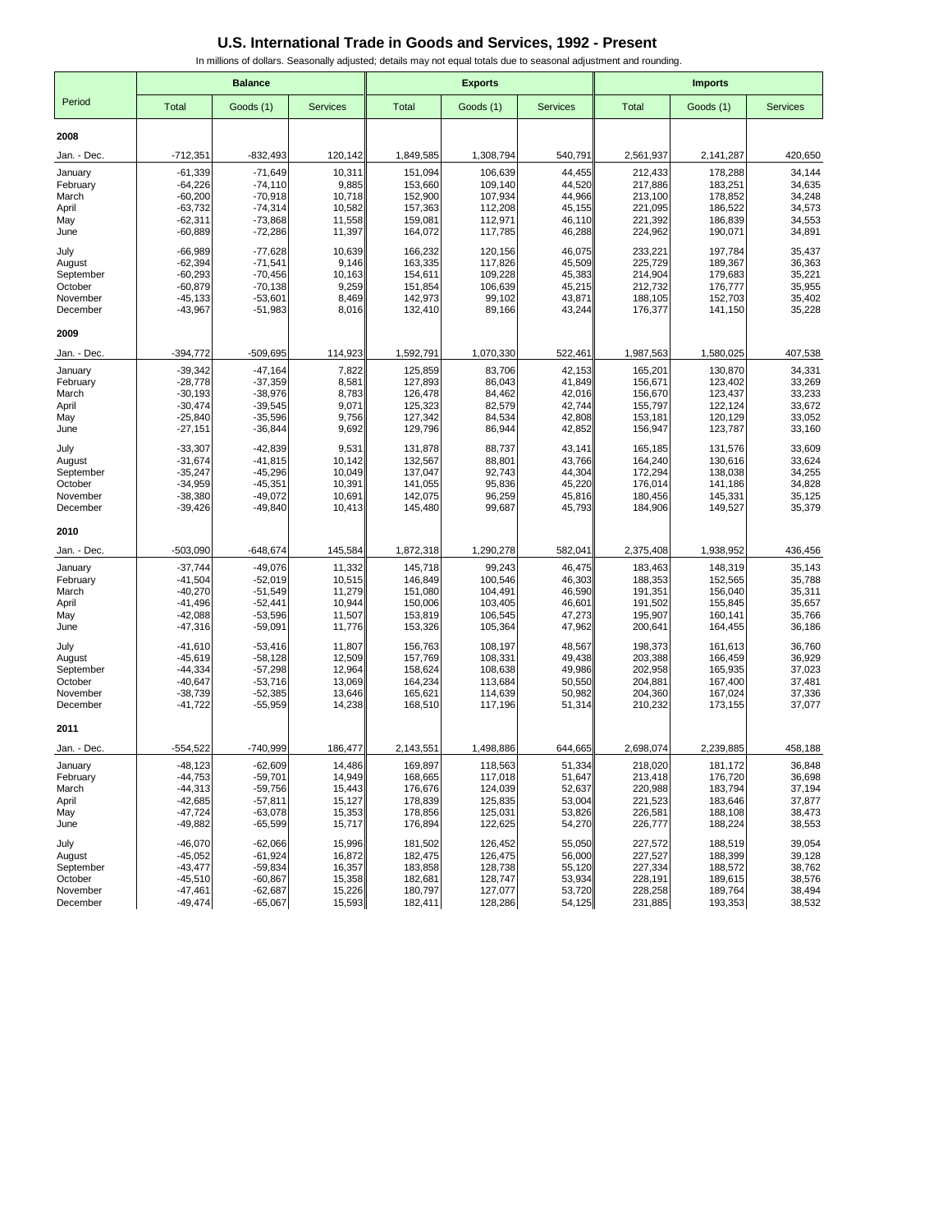|                      | <b>Balance</b>         |                         |                  |                    | <b>Exports</b>     |                  | <b>Imports</b>     |                    |                  |  |
|----------------------|------------------------|-------------------------|------------------|--------------------|--------------------|------------------|--------------------|--------------------|------------------|--|
| Period               | Total                  | Goods (1)               | <b>Services</b>  | <b>Total</b>       | Goods (1)          | <b>Services</b>  | <b>Total</b>       | Goods (1)          | <b>Services</b>  |  |
| 2008                 |                        |                         |                  |                    |                    |                  |                    |                    |                  |  |
| Jan. - Dec.          | $-712,351$             | $-832,493$              | 120,142          | 1,849,585          | 1,308,794          | 540,791          | 2,561,937          | 2,141,287          | 420,650          |  |
| January              | $-61,339$              | $-71,649$               | 10,311           | 151,094            | 106,639            | 44,455           | 212,433            | 178,288            | 34,144           |  |
| February             | $-64,226$              | $-74,110$               | 9,885            | 153,660            | 109,140            | 44,520           | 217,886            | 183,251            | 34,635           |  |
| March                | $-60,200$              | $-70,918$               | 10,718           | 152,900            | 107,934            | 44,966           | 213,100            | 178,852            | 34,248           |  |
| April                | $-63,732$              | $-74,314$               | 10,582           | 157,363            | 112,208            | 45,155           | 221,095            | 186,522            | 34,573           |  |
| May<br>June          | $-62,311$<br>$-60,889$ | $-73,868$<br>$-72,286$  | 11,558<br>11,397 | 159,081<br>164,072 | 112,971<br>117,785 | 46,110<br>46,288 | 221,392<br>224,962 | 186,839<br>190,071 | 34,553<br>34,891 |  |
| July                 | $-66,989$              | $-77,628$               | 10,639           | 166,232            | 120,156            | 46,075           | 233,221            | 197,784            | 35,437           |  |
| August               | $-62,394$              | $-71,541$               | 9,146            | 163,335            | 117,826            | 45,509           | 225,729            | 189,367            | 36,363           |  |
| September            | $-60,293$              | $-70,456$               | 10,163           | 154,611            | 109,228            | 45,383           | 214,904            | 179,683            | 35,221           |  |
| October<br>November  | $-60,879$<br>$-45,133$ | $-70, 138$<br>$-53,601$ | 9,259<br>8,469   | 151,854<br>142,973 | 106,639<br>99,102  | 45,215<br>43,871 | 212,732<br>188,105 | 176,777<br>152,703 | 35,955<br>35,402 |  |
| December             | $-43,967$              | $-51,983$               | 8,016            | 132,410            | 89,166             | 43,244           | 176,377            | 141,150            | 35,228           |  |
| 2009                 |                        |                         |                  |                    |                    |                  |                    |                    |                  |  |
| Jan. - Dec.          | -394,772               | -509,695                | 114,923          | 1,592,791          | 1,070,330          | 522,461          | 1,987,563          | 1,580,025          | 407,538          |  |
| January              | $-39,342$              | $-47,164$               | 7,822            | 125,859            | 83,706             | 42,153           | 165,201            | 130,870            | 34,331           |  |
| February             | $-28,778$              | $-37,359$               | 8,581            | 127,893            | 86,043             | 41,849           | 156,671            | 123,402            | 33,269           |  |
| March<br>April       | $-30,193$<br>$-30,474$ | $-38,976$<br>$-39,545$  | 8,783<br>9,071   | 126,478<br>125,323 | 84,462<br>82,579   | 42,016<br>42,744 | 156,670<br>155,797 | 123,437<br>122,124 | 33,233<br>33,672 |  |
| May                  | $-25,840$              | $-35,596$               | 9,756            | 127,342            | 84,534             | 42,808           | 153,181            | 120,129            | 33,052           |  |
| June                 | $-27,151$              | $-36,844$               | 9,692            | 129,796            | 86,944             | 42,852           | 156,947            | 123,787            | 33,160           |  |
| July                 | $-33,307$              | $-42,839$               | 9,531            | 131,878            | 88,737             | 43,141           | 165,185            | 131,576            | 33,609           |  |
| August               | $-31,674$              | $-41,815$               | 10,142           | 132,567            | 88,801             | 43,766           | 164,240            | 130,616            | 33,624           |  |
| September<br>October | $-35,247$<br>$-34,959$ | $-45,296$<br>$-45,351$  | 10,049<br>10,391 | 137,047<br>141,055 | 92,743<br>95,836   | 44,304<br>45,220 | 172,294<br>176,014 | 138,038<br>141,186 | 34,255<br>34,828 |  |
| November             | $-38,380$              | $-49,072$               | 10,691           | 142,075            | 96,259             | 45,816           | 180,456            | 145,331            | 35,125           |  |
| December             | $-39,426$              | $-49,840$               | 10,413           | 145,480            | 99,687             | 45,793           | 184,906            | 149,527            | 35,379           |  |
| 2010                 |                        |                         |                  |                    |                    |                  |                    |                    |                  |  |
| Jan. - Dec.          | $-503,090$             | $-648,674$              | 145,584          | 1,872,318          | 1,290,278          | 582,041          | 2,375,408          | 1,938,952          | 436,456          |  |
| January              | $-37,744$              | $-49,076$               | 11,332           | 145,718            | 99,243             | 46,475           | 183,463            | 148,319            | 35,143           |  |
| February             | $-41,504$              | $-52,019$               | 10,515           | 146,849            | 100,546            | 46,303           | 188,353            | 152,565            | 35,788           |  |
| March                | $-40,270$              | $-51,549$               | 11,279           | 151,080            | 104,491            | 46,590           | 191,351            | 156,040            | 35,311           |  |
| April<br>May         | $-41,496$<br>$-42,088$ | $-52,441$<br>$-53,596$  | 10,944<br>11,507 | 150,006<br>153,819 | 103,405<br>106,545 | 46,601<br>47,273 | 191,502<br>195,907 | 155,845<br>160,141 | 35,657<br>35,766 |  |
| June                 | -47,316                | $-59,091$               | 11,776           | 153,326            | 105,364            | 47,962           | 200,641            | 164,455            | 36,186           |  |
| July                 | $-41,610$              | $-53,416$               | 11,807           | 156,763            | 108,197            | 48,567           | 198,373            | 161,613            | 36,760           |  |
| August               | $-45,619$              | $-58,128$               | 12,509           | 157,769            | 108,331            | 49,438           | 203,388            | 166,459            | 36,929           |  |
| September<br>October | $-44,334$<br>$-40,647$ | $-57,298$               | 12,964<br>13.069 | 158,624            | 108,638            | 49,986<br>50,550 | 202,958<br>204.881 | 165,935            | 37,023<br>37,481 |  |
| November             | $-38,739$              | $-53,716$<br>$-52,385$  | 13,646           | 164,234<br>165,621 | 113,684<br>114,639 | 50.982           | 204,360            | 167,400<br>167,024 | 37,336           |  |
| December             | -41,722                | $-55,959$               | 14,238           | 168,510            | 117,196            | 51,314           | 210,232            | 173,155            | 37,077           |  |
| 2011                 |                        |                         |                  |                    |                    |                  |                    |                    |                  |  |
| Jan. - Dec.          | $-554,522$             | -740,999                | 186,477          | 2,143,551          | 1,498,886          | 644,665          | 2,698,074          | 2,239,885          | 458,188          |  |
| January              | $-48,123$              | $-62,609$               | 14.486           | 169,897            | 118,563            | 51,334           | 218,020            | 181,172            | 36,848           |  |
| February             | $-44,753$              | $-59,701$               | 14,949           | 168,665            | 117,018            | 51,647           | 213,418            | 176,720            | 36,698           |  |
| March<br>April       | $-44,313$<br>$-42,685$ | $-59,756$<br>$-57,811$  | 15,443<br>15,127 | 176,676<br>178,839 | 124,039<br>125,835 | 52,637<br>53,004 | 220,988<br>221,523 | 183,794<br>183,646 | 37,194<br>37,877 |  |
| May                  | $-47,724$              | $-63,078$               | 15,353           | 178,856            | 125,031            | 53,826           | 226,581            | 188,108            | 38,473           |  |
| June                 | -49,882                | $-65,599$               | 15,717           | 176,894            | 122,625            | 54,270           | 226,777            | 188,224            | 38,553           |  |
| July                 | $-46,070$              | $-62,066$               | 15,996           | 181,502            | 126,452            | 55,050           | 227,572            | 188,519            | 39,054           |  |
| August               | $-45,052$              | $-61,924$               | 16,872           | 182,475            | 126,475            | 56,000           | 227,527            | 188,399            | 39,128           |  |
| September<br>October | $-43,477$<br>$-45,510$ | $-59,834$<br>$-60,867$  | 16,357<br>15,358 | 183,858<br>182,681 | 128,738<br>128,747 | 55,120<br>53,934 | 227,334<br>228,191 | 188,572<br>189,615 | 38,762<br>38,576 |  |
| November             | -47,461                | $-62,687$               | 15,226           | 180,797            | 127,077            | 53,720           | 228,258            | 189,764            | 38,494           |  |
| December             | $-49,474$              | $-65,067$               | 15,593           | 182,411            | 128,286            | 54,125           | 231,885            | 193,353            | 38,532           |  |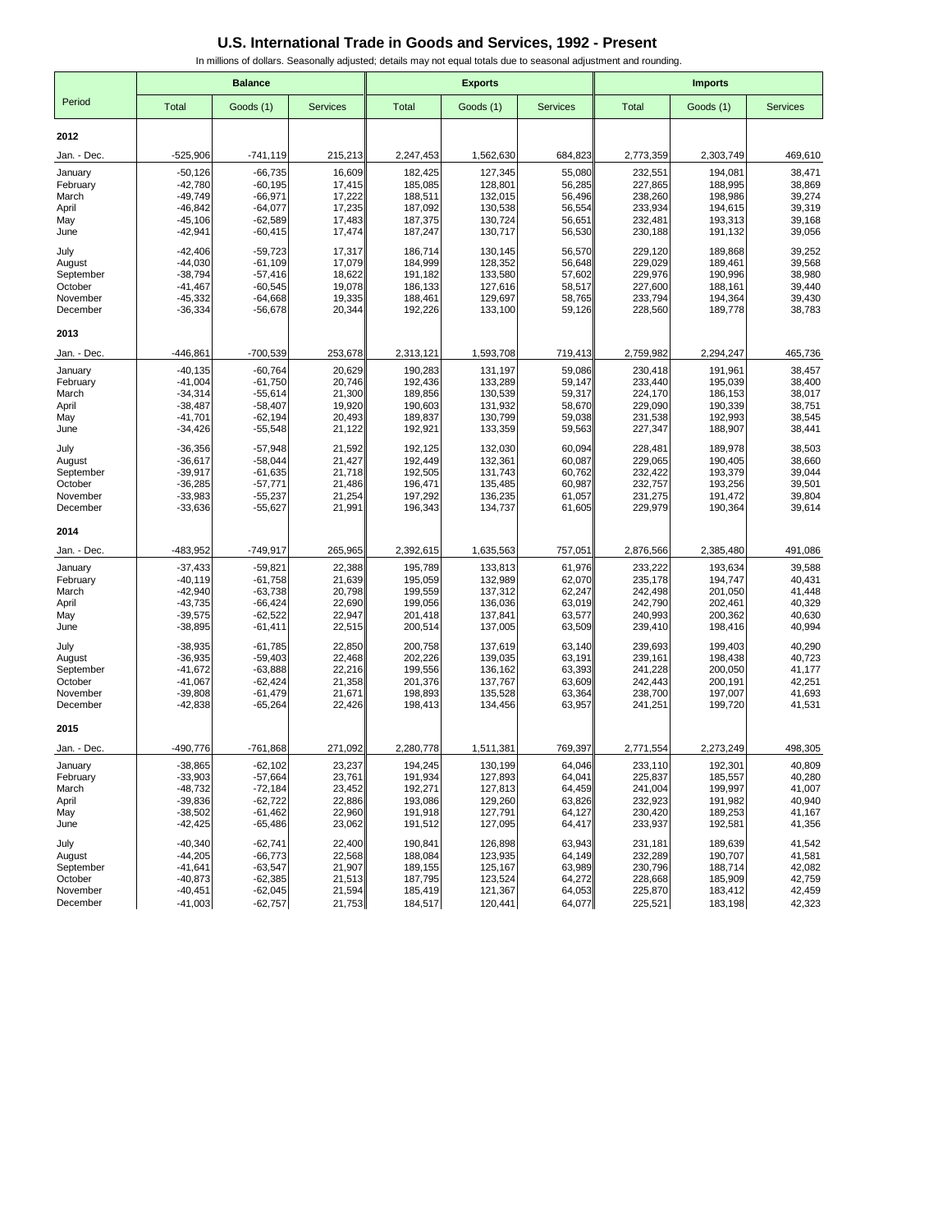|                      |                        | <b>Balance</b>         |                  |                    | <b>Exports</b>     |                  | <b>Imports</b>     |                    |                  |  |
|----------------------|------------------------|------------------------|------------------|--------------------|--------------------|------------------|--------------------|--------------------|------------------|--|
| Period               | Total                  | Goods (1)              | <b>Services</b>  | <b>Total</b>       | Goods (1)          | <b>Services</b>  | <b>Total</b>       | Goods (1)          | <b>Services</b>  |  |
| 2012                 |                        |                        |                  |                    |                    |                  |                    |                    |                  |  |
| Jan. - Dec.          | $-525,906$             | $-741, 119$            | 215,213          | 2,247,453          | 1,562,630          | 684,823          | 2,773,359          | 2,303,749          | 469,610          |  |
| January              | $-50,126$              | $-66,735$              | 16,609           | 182,425            | 127,345            | 55,080           | 232,551            | 194,081            | 38,471           |  |
| February             | $-42,780$              | $-60, 195$             | 17,415           | 185,085            | 128,801            | 56,285           | 227,865            | 188,995            | 38,869           |  |
| March                | $-49,749$              | $-66,971$              | 17,222           | 188,511            | 132,015            | 56,496           | 238,260            | 198,986            | 39,274           |  |
| April<br>May         | $-46,842$<br>$-45,106$ | $-64,077$<br>$-62,589$ | 17,235<br>17,483 | 187,092<br>187,375 | 130,538<br>130,724 | 56,554<br>56,651 | 233,934<br>232,481 | 194,615<br>193,313 | 39,319<br>39,168 |  |
| June                 | $-42,941$              | $-60,415$              | 17,474           | 187,247            | 130,717            | 56,530           | 230,188            | 191,132            | 39,056           |  |
| July                 | $-42,406$              | $-59,723$              | 17,317           | 186,714            | 130,145            | 56,570           | 229,120            | 189,868            | 39,252           |  |
| August               | $-44,030$              | $-61,109$              | 17,079           | 184,999            | 128,352            | 56,648           | 229,029            | 189,461            | 39,568           |  |
| September<br>October | $-38,794$<br>$-41,467$ | $-57,416$<br>$-60,545$ | 18,622<br>19,078 | 191,182<br>186,133 | 133,580<br>127,616 | 57,602<br>58,517 | 229,976<br>227,600 | 190,996<br>188,161 | 38,980<br>39,440 |  |
| November             | $-45,332$              | $-64,668$              | 19,335           | 188,461            | 129,697            | 58,765           | 233,794            | 194,364            | 39,430           |  |
| December             | $-36,334$              | $-56,678$              | 20,344           | 192,226            | 133,100            | 59,126           | 228,560            | 189,778            | 38,783           |  |
| 2013                 |                        |                        |                  |                    |                    |                  |                    |                    |                  |  |
| Jan. - Dec.          | -446,861               | $-700,539$             | 253,678          | 2,313,121          | 1,593,708          | 719,413          | 2,759,982          | 2,294,247          | 465,736          |  |
| January              | $-40, 135$             | $-60,764$              | 20,629           | 190,283            | 131,197            | 59,086           | 230,418            | 191,961            | 38,457           |  |
| February             | $-41,004$              | $-61,750$              | 20,746           | 192,436            | 133,289            | 59,147           | 233,440            | 195,039            | 38,400           |  |
| March                | $-34,314$              | $-55,614$              | 21,300           | 189,856            | 130,539            | 59,317           | 224,170            | 186,153            | 38,017           |  |
| April<br>May         | $-38,487$<br>$-41,701$ | $-58,407$<br>$-62,194$ | 19,920<br>20,493 | 190,603<br>189,837 | 131,932<br>130,799 | 58,670<br>59,038 | 229,090<br>231,538 | 190,339<br>192,993 | 38,751<br>38,545 |  |
| June                 | $-34,426$              | $-55,548$              | 21,122           | 192,921            | 133,359            | 59,563           | 227,347            | 188,907            | 38,441           |  |
| July                 | $-36,356$              | $-57,948$              | 21,592           | 192,125            | 132,030            | 60,094           | 228,481            | 189,978            | 38,503           |  |
| August               | $-36,617$              | $-58.044$              | 21,427           | 192,449            | 132,361            | 60,087           | 229,065            | 190,405            | 38,660           |  |
| September            | $-39,917$              | $-61,635$              | 21,718           | 192,505            | 131,743            | 60,762           | 232,422            | 193,379            | 39,044           |  |
| October<br>November  | $-36,285$<br>$-33,983$ | $-57,771$<br>$-55,237$ | 21,486<br>21,254 | 196,471<br>197,292 | 135,485<br>136,235 | 60,987<br>61,057 | 232,757<br>231,275 | 193,256<br>191,472 | 39,501<br>39,804 |  |
| December             | $-33,636$              | $-55,627$              | 21,991           | 196,343            | 134,737            | 61,605           | 229,979            | 190,364            | 39,614           |  |
| 2014                 |                        |                        |                  |                    |                    |                  |                    |                    |                  |  |
| Jan. - Dec.          | -483,952               | $-749,917$             | 265,965          | 2,392,615          | 1,635,563          | 757,051          | 2,876,566          | 2,385,480          | 491,086          |  |
| January              | $-37,433$              | $-59,821$              | 22,388           | 195,789            | 133,813            | 61,976           | 233,222            | 193,634            | 39,588           |  |
| February             | $-40,119$              | $-61,758$              | 21,639           | 195,059            | 132,989            | 62,070           | 235,178            | 194,747            | 40,431           |  |
| March                | $-42,940$              | $-63,738$              | 20,798           | 199,559            | 137,312            | 62,247           | 242,498            | 201,050            | 41,448           |  |
| April<br>May         | $-43,735$<br>$-39,575$ | $-66,424$<br>$-62,522$ | 22,690<br>22,947 | 199,056<br>201,418 | 136,036<br>137,841 | 63,019<br>63,577 | 242,790<br>240,993 | 202,461<br>200,362 | 40,329<br>40,630 |  |
| June                 | $-38,895$              | $-61,411$              | 22,515           | 200,514            | 137,005            | 63,509           | 239,410            | 198,416            | 40,994           |  |
| July                 | $-38,935$              | $-61,785$              | 22,850           | 200,758            | 137,619            | 63,140           | 239,693            | 199,403            | 40,290           |  |
| August               | $-36,935$              | $-59,403$              | 22,468           | 202,226            | 139,035            | 63,191           | 239,161            | 198,438            | 40,723           |  |
| September            | $-41,672$              | $-63,888$              | 22,216           | 199,556            | 136,162            | 63,393           | 241,228            | 200,050            | 41,177           |  |
| October              | $-41,067$              | $-62,424$              | 21,358           | 201,376            | 137,767            | 63,609           | 242,443            | 200,191            | 42,251           |  |
| November<br>December | $-39,808$<br>$-42,838$ | $-61,479$<br>$-65,264$ | 21,671<br>22,426 | 198,893<br>198,413 | 135,528<br>134,456 | 63,364<br>63,957 | 238,700<br>241,251 | 197,007<br>199,720 | 41,693<br>41,531 |  |
| 2015                 |                        |                        |                  |                    |                    |                  |                    |                    |                  |  |
| Jan. - Dec.          | -490,776               | $-761,868$             | 271,092          | 2,280,778          | 1,511,381          | 769,397          | 2,771,554          | 2,273,249          | 498,305          |  |
| January              | $-38.865$              | $-62,102$              | 23.237           | 194,245            | 130,199            | 64,046           | 233,110            | 192,301            | 40,809           |  |
| February             | $-33,903$              | $-57,664$              | 23,761           | 191,934            | 127,893            | 64,041           | 225,837            | 185,557            | 40,280           |  |
| March<br>April       | $-48,732$<br>$-39,836$ | $-72,184$<br>$-62,722$ | 23,452<br>22,886 | 192,271<br>193,086 | 127,813<br>129,260 | 64,459<br>63,826 | 241,004<br>232,923 | 199,997<br>191,982 | 41,007<br>40,940 |  |
| May                  | $-38,502$              | $-61,462$              | 22,960           | 191,918            | 127,791            | 64,127           | 230,420            | 189,253            | 41,167           |  |
| June                 | $-42,425$              | $-65,486$              | 23,062           | 191,512            | 127,095            | 64,417           | 233,937            | 192,581            | 41,356           |  |
| July                 | $-40,340$              | $-62,741$              | 22,400           | 190,841            | 126,898            | 63,943           | 231,181            | 189,639            | 41,542           |  |
| August               | $-44,205$              | $-66,773$              | 22,568           | 188,084            | 123,935            | 64,149           | 232,289            | 190,707            | 41,581           |  |
| September            | $-41,641$              | $-63,547$              | 21,907           | 189,155            | 125,167<br>123,524 | 63,989           | 230,796            | 188,714<br>185,909 | 42,082<br>42,759 |  |
| October<br>November  | $-40,873$<br>$-40,451$ | $-62,385$<br>$-62,045$ | 21,513<br>21,594 | 187,795<br>185,419 | 121,367            | 64,272<br>64,053 | 228,668<br>225,870 | 183,412            | 42,459           |  |
| December             | $-41,003$              | $-62,757$              | 21,753           | 184,517            | 120,441            | 64,077           | 225,521            | 183,198            | 42,323           |  |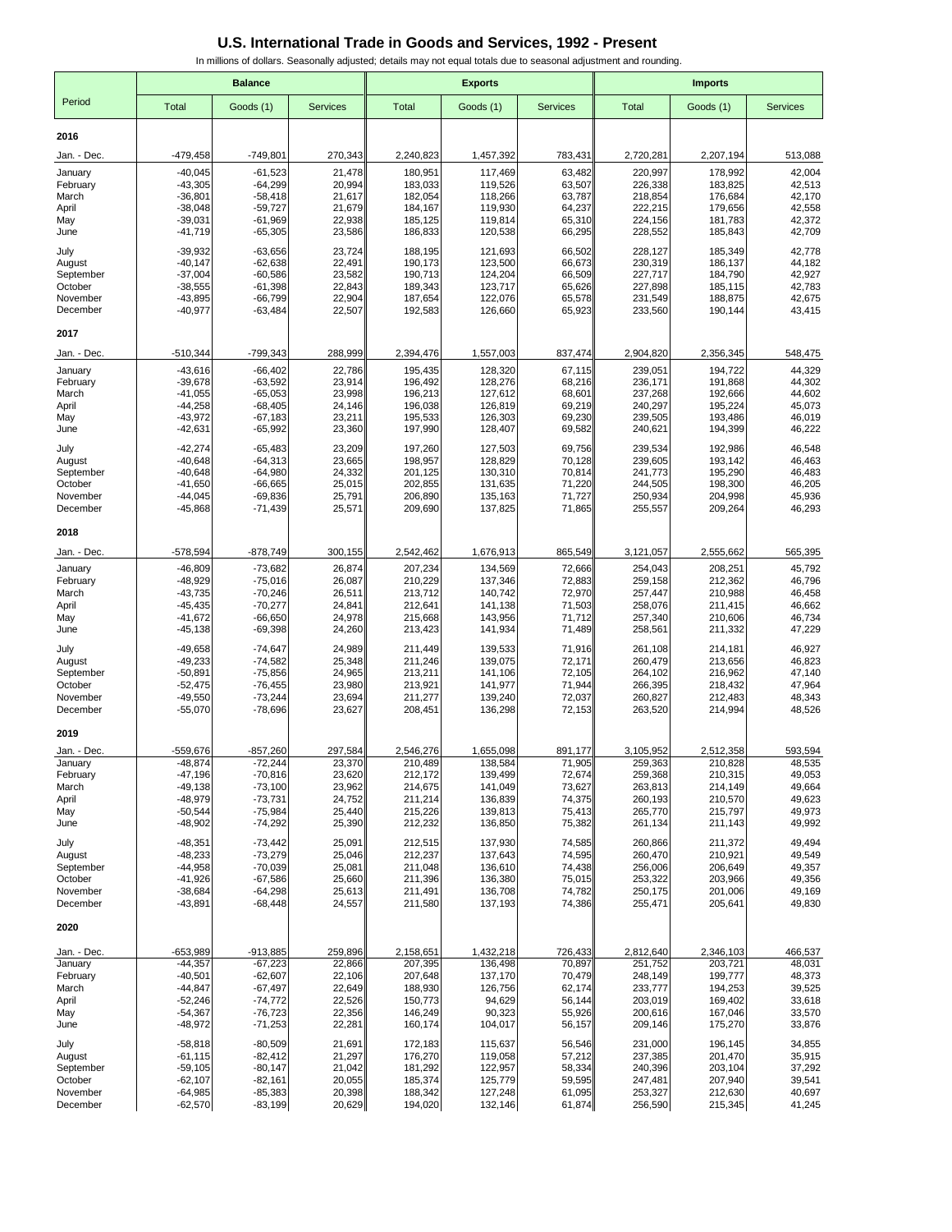|                        | <b>Balance</b>         |                        |                   |                      | <b>Exports</b>       |                  | <b>Imports</b>       |                      |                   |  |
|------------------------|------------------------|------------------------|-------------------|----------------------|----------------------|------------------|----------------------|----------------------|-------------------|--|
| Period                 | Total                  |                        | <b>Services</b>   |                      | Goods (1)            | <b>Services</b>  |                      |                      | <b>Services</b>   |  |
|                        |                        | Goods (1)              |                   | <b>Total</b>         |                      |                  | Total                | Goods (1)            |                   |  |
| 2016                   |                        |                        |                   |                      |                      |                  |                      |                      |                   |  |
| Jan. - Dec.            | -479,458               | $-749,801$             | 270,343           | 2,240,823            | 1,457,392            | 783,431          | 2,720,281            | 2,207,194            | 513,088           |  |
| January                | $-40,045$              | $-61,523$              | 21,478            | 180,951              | 117,469              | 63,482           | 220,997              | 178,992              | 42,004            |  |
| February               | $-43,305$              | $-64,299$              | 20,994            | 183,033              | 119,526              | 63,507           | 226,338              | 183,825              | 42,513            |  |
| March<br>April         | $-36,801$<br>$-38,048$ | $-58,418$<br>$-59,727$ | 21,617<br>21,679  | 182,054<br>184,167   | 118,266<br>119,930   | 63,787<br>64,237 | 218,854<br>222,215   | 176,684<br>179,656   | 42,170<br>42,558  |  |
| May                    | $-39,031$              | $-61,969$              | 22,938            | 185,125              | 119,814              | 65,310           | 224,156              | 181,783              | 42,372            |  |
| June                   | $-41,719$              | $-65,305$              | 23,586            | 186,833              | 120,538              | 66,295           | 228,552              | 185,843              | 42,709            |  |
| July                   | $-39,932$              | $-63,656$              | 23,724            | 188,195              | 121,693              | 66,502           | 228,127              | 185,349              | 42,778            |  |
| August                 | $-40,147$              | $-62,638$              | 22,491            | 190,173              | 123,500              | 66,673           | 230,319              | 186,137              | 44,182            |  |
| September              | $-37,004$              | $-60,586$              | 23,582            | 190,713              | 124,204              | 66,509           | 227,717              | 184,790              | 42,927            |  |
| October<br>November    | $-38,555$<br>$-43,895$ | $-61,398$<br>$-66,799$ | 22,843<br>22,904  | 189,343<br>187,654   | 123,717<br>122,076   | 65,626<br>65,578 | 227,898<br>231,549   | 185,115<br>188,875   | 42,783<br>42,675  |  |
| December               | $-40,977$              | $-63,484$              | 22,507            | 192,583              | 126,660              | 65,923           | 233,560              | 190,144              | 43,415            |  |
| 2017                   |                        |                        |                   |                      |                      |                  |                      |                      |                   |  |
| Jan. - Dec.            | -510,344               | -799,343               | 288,999           | 2,394,476            | 1,557,003            | 837,474          | 2,904,820            | 2,356,345            | 548,475           |  |
| January                | $-43,616$              | $-66,402$              | 22,786            | 195,435              | 128,320              | 67,115           | 239,051              | 194,722              | 44,329            |  |
| February               | $-39,678$              | $-63,592$              | 23,914            | 196,492              | 128,276              | 68,216           | 236,171              | 191,868              | 44,302            |  |
| March                  | $-41,055$              | $-65,053$              | 23,998            | 196,213              | 127,612              | 68,601           | 237,268              | 192,666              | 44,602            |  |
| April                  | $-44,258$              | $-68,405$              | 24,146            | 196,038              | 126,819              | 69,219           | 240,297              | 195,224              | 45,073            |  |
| May                    | $-43,972$              | $-67,183$              | 23,211            | 195,533<br>197,990   | 126,303<br>128,407   | 69,230           | 239,505<br>240,621   | 193,486              | 46,019<br>46,222  |  |
| June                   | $-42,631$              | $-65,992$              | 23,360            |                      |                      | 69,582           |                      | 194,399              |                   |  |
| July                   | $-42,274$              | $-65,483$              | 23,209            | 197,260              | 127,503              | 69,756           | 239,534              | 192,986              | 46,548            |  |
| August<br>September    | $-40,648$<br>$-40,648$ | $-64,313$<br>$-64,980$ | 23,665<br>24,332  | 198,957<br>201,125   | 128,829<br>130,310   | 70,128<br>70,814 | 239,605<br>241,773   | 193,142<br>195,290   | 46,463<br>46,483  |  |
| October                | $-41,650$              | $-66,665$              | 25,015            | 202,855              | 131,635              | 71,220           | 244,505              | 198,300              | 46,205            |  |
| November               | $-44,045$              | $-69,836$              | 25,791            | 206,890              | 135,163              | 71,727           | 250,934              | 204,998              | 45,936            |  |
| December               | $-45,868$              | $-71,439$              | 25,571            | 209,690              | 137,825              | 71,865           | 255,557              | 209,264              | 46,293            |  |
| 2018                   |                        |                        |                   |                      |                      |                  |                      |                      |                   |  |
| Jan. - Dec.            | -578,594               | $-878,749$             | 300,155           | 2,542,462            | 1,676,913            | 865,549          | 3,121,057            | 2,555,662            | 565,395           |  |
| January                | $-46,809$              | $-73,682$              | 26,874            | 207,234              | 134,569              | 72,666           | 254,043              | 208,251              | 45,792            |  |
| February               | $-48,929$              | $-75,016$              | 26,087            | 210,229              | 137,346              | 72,883           | 259,158              | 212,362              | 46,796            |  |
| March                  | $-43,735$              | $-70,246$              | 26,511            | 213,712              | 140,742              | 72,970           | 257,447              | 210,988              | 46,458            |  |
| April<br>May           | $-45,435$<br>$-41,672$ | $-70,277$<br>$-66,650$ | 24,841<br>24,978  | 212,641<br>215,668   | 141,138<br>143,956   | 71,503<br>71,712 | 258,076<br>257,340   | 211,415<br>210,606   | 46,662<br>46,734  |  |
| June                   | $-45,138$              | $-69,398$              | 24,260            | 213,423              | 141,934              | 71,489           | 258,561              | 211,332              | 47,229            |  |
| July                   | $-49,658$              | $-74,647$              | 24,989            | 211,449              | 139,533              | 71,916           | 261,108              | 214,181              | 46,927            |  |
| August                 | $-49,233$              | $-74,582$              | 25,348            | 211,246              | 139,075              | 72,171           | 260,479              | 213,656              | 46,823            |  |
| September              | $-50,891$              | $-75,856$              | 24,965            | 213,211              | 141,106              | 72,105           | 264,102              | 216,962              | 47,140            |  |
| October                | $-52,475$<br>$-49,550$ | $-76,455$<br>$-73,244$ | 23,980<br>23,694  | 213,921<br>211,277   | 141,977<br>139,240   | 71,944<br>72,037 | 266,395<br>260,827   | 218,432<br>212,483   | 47,964<br>48,343  |  |
| November<br>December   | $-55,070$              | $-78,696$              | 23,627            | 208,451              | 136,298              | 72,153           | 263,520              | 214,994              | 48,526            |  |
| 2019                   |                        |                        |                   |                      |                      |                  |                      |                      |                   |  |
|                        | $-559,676$             |                        |                   |                      |                      | 891,177          |                      |                      |                   |  |
| Jan. - Dec.<br>January | 48,874                 | $-857,260$<br>72,244   | 297,584<br>23,370 | 2,546,276<br>210,489 | 1,655,098<br>138,584 | 71,905           | 3,105,952<br>259,363 | 2,512,358<br>210,828 | 593,594<br>48,535 |  |
| February               | $-47,196$              | $-70,816$              | 23,620            | 212,172              | 139,499              | 72,674           | 259,368              | 210,315              | 49,053            |  |
| March                  | $-49,138$              | $-73,100$              | 23,962            | 214,675              | 141,049              | 73,627           | 263,813              | 214,149              | 49,664            |  |
| April                  | $-48,979$              | $-73,731$              | 24,752            | 211,214              | 136,839<br>139,813   | 74,375           | 260,193<br>265,770   | 210,570              | 49,623            |  |
| May<br>June            | $-50,544$<br>$-48,902$ | $-75,984$<br>$-74,292$ | 25,440<br>25,390  | 215,226<br>212,232   | 136,850              | 75,413<br>75,382 | 261,134              | 215,797<br>211,143   | 49,973<br>49,992  |  |
|                        | $-48,351$              | $-73,442$              | 25,091            |                      |                      |                  |                      |                      | 49,494            |  |
| July<br>August         | $-48,233$              | $-73,279$              | 25,046            | 212,515<br>212,237   | 137,930<br>137,643   | 74,585<br>74,595 | 260,866<br>260,470   | 211,372<br>210,921   | 49,549            |  |
| September              | $-44,958$              | $-70,039$              | 25,081            | 211,048              | 136,610              | 74,438           | 256,006              | 206,649              | 49,357            |  |
| October                | $-41,926$              | $-67,586$              | 25,660            | 211,396              | 136,380              | 75,015           | 253,322              | 203,966              | 49,356            |  |
| November               | $-38,684$              | $-64,298$              | 25,613            | 211,491              | 136,708              | 74,782           | 250,175              | 201,006              | 49,169            |  |
| December               | $-43,891$              | $-68,448$              | 24,557            | 211,580              | 137,193              | 74,386           | 255,471              | 205,641              | 49,830            |  |
| 2020                   |                        |                        |                   |                      |                      |                  |                      |                      |                   |  |
| Jan. - Dec.            | -653,989               | $-913,885$             | 259,896           | 2,158,651            | 1,432,218            | 726,433          | 2,812,640            | 2,346,103            | 466,537           |  |
| January                | $-44,357$              | $-67,223$              | 22,866            | 207,395              | 136,498              | 70,897           | 251.752              | 203,721              | 48,031            |  |
| February               | $-40,501$<br>$-44,847$ | $-62,607$              | 22,106<br>22,649  | 207,648              | 137,170              | 70,479           | 248,149              | 199,777              | 48,373            |  |
| March<br>April         | $-52,246$              | $-67,497$<br>$-74,772$ | 22,526            | 188,930<br>150,773   | 126,756<br>94,629    | 62,174<br>56,144 | 233,777<br>203,019   | 194,253<br>169,402   | 39,525<br>33,618  |  |
| May                    | $-54,367$              | $-76,723$              | 22,356            | 146,249              | 90,323               | 55,926           | 200,616              | 167,046              | 33,570            |  |
| June                   | $-48,972$              | $-71,253$              | 22,281            | 160,174              | 104,017              | 56,157           | 209,146              | 175,270              | 33,876            |  |
| July                   | $-58,818$              | $-80,509$              | 21,691            | 172,183              | 115,637              | 56,546           | 231,000              | 196,145              | 34,855            |  |
| August                 | $-61,115$              | $-82,412$              | 21,297            | 176,270              | 119,058              | 57,212           | 237,385              | 201,470              | 35,915            |  |
| September              | $-59,105$              | $-80,147$              | 21,042            | 181,292              | 122,957              | 58,334           | 240,396              | 203,104              | 37,292            |  |
| October<br>November    | $-62,107$<br>$-64,985$ | $-82,161$<br>$-85,383$ | 20,055<br>20,398  | 185,374<br>188,342   | 125,779<br>127,248   | 59,595<br>61,095 | 247,481<br>253,327   | 207,940<br>212,630   | 39,541<br>40,697  |  |
| December               | $-62,570$              | $-83,199$              | 20,629            | 194,020              | 132,146              | 61,874           | 256,590              | 215,345              | 41,245            |  |